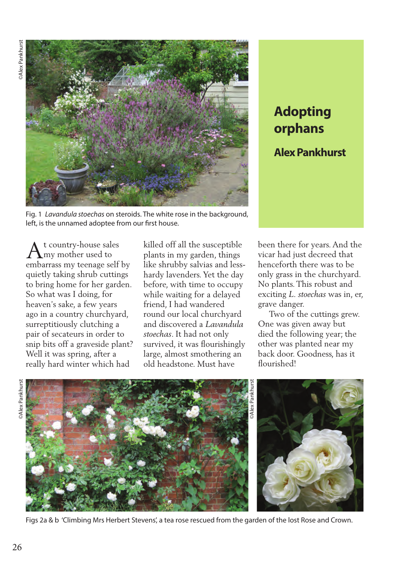

Fig. 1 *Lavandula stoechas* on steroids. The white rose in the background, left, is the unnamed adoptee from our first house.

t country-house sales my mother used to  $A<sup>t</sup> country-house sales  
embarrass my teenage self by$ quietly taking shrub cuttings to bring home for her garden. So what was I doing, for heaven's sake, a few years ago in a country churchyard, surreptitiously clutching a pair of secateurs in order to snip bits off a graveside plant? Well it was spring, after a really hard winter which had

killed off all the susceptible plants in my garden, things like shrubby salvias and lesshardy lavenders. Yet the day before, with time to occupy while waiting for a delayed friend, I had wandered round our local churchyard and discovered a *Lavandula stoechas*. It had not only survived, it was flourishingly large, almost smothering an old headstone. Must have

## **Adopting orphans**

**Alex Pankhurst**

been there for years. And the vicar had just decreed that henceforth there was to be only grass in the churchyard. No plants. This robust and exciting *L. stoechas* was in, er, grave danger.

 Two of the cuttings grew. One was given away but died the following year; the other was planted near my back door. Goodness, has it flourished<sup>1</sup>





Figs 2a & b 'Climbing Mrs Herbert Stevens', a tea rose rescued from the garden of the lost Rose and Crown.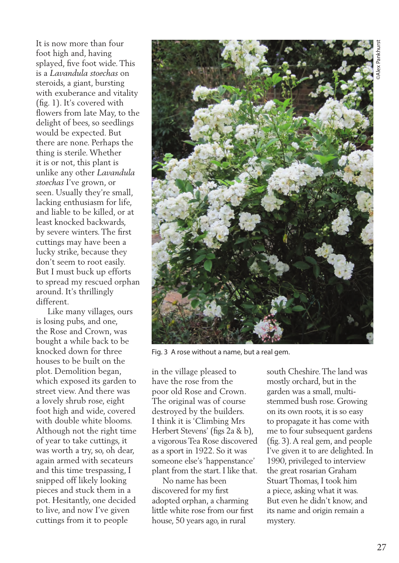It is now more than four foot high and, having splayed, five foot wide. This is a *Lavandula stoechas* on steroids, a giant, bursting with exuberance and vitality (fig. 1). It's covered with flowers from late May, to the delight of bees, so seedlings would be expected. But there are none. Perhaps the thing is sterile. Whether it is or not, this plant is unlike any other *Lavandula stoechas* I've grown, or seen. Usually they're small, lacking enthusiasm for life, and liable to be killed, or at least knocked backwards, by severe winters. The first cuttings may have been a lucky strike, because they don't seem to root easily. But I must buck up efforts to spread my rescued orphan around. It's thrillingly different.

 Like many villages, ours is losing pubs, and one, the Rose and Crown, was bought a while back to be knocked down for three houses to be built on the plot. Demolition began, which exposed its garden to street view. And there was a lovely shrub rose, eight foot high and wide, covered with double white blooms. Although not the right time of year to take cuttings, it was worth a try, so, oh dear, again armed with secateurs and this time trespassing, I snipped off likely looking pieces and stuck them in a pot. Hesitantly, one decided to live, and now I've given cuttings from it to people



Fig. 3 A rose without a name, but a real gem.

in the village pleased to have the rose from the poor old Rose and Crown. The original was of course destroyed by the builders. I think it is 'Climbing Mrs Herbert Stevens' (figs 2a & b), a vigorous Tea Rose discovered as a sport in 1922. So it was someone else's 'happenstance' plant from the start. I like that.

 No name has been discovered for my first adopted orphan, a charming little white rose from our first house, 50 years ago, in rural

south Cheshire. The land was mostly orchard, but in the garden was a small, multistemmed bush rose. Growing on its own roots, it is so easy to propagate it has come with me to four subsequent gardens (fig. 3). A real gem, and people I've given it to are delighted. In 1990, privileged to interview the great rosarian Graham Stuart Thomas, I took him a piece, asking what it was. But even he didn't know, and its name and origin remain a mystery.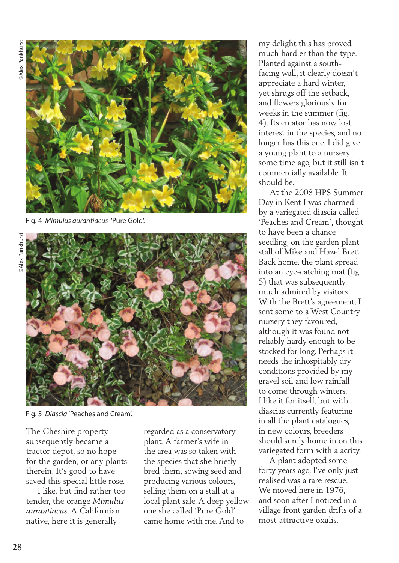

Fig. 4 *Mimulus aurantiacus* 'Pure Gold'.



Fig. 5 *Diascia* 'Peaches and Cream'.

The Cheshire property subsequently became a tractor depot, so no hope for the garden, or any plants therein. It's good to have saved this special little rose.

 I like, but find rather too tender, the orange *Mimulus aurantiacus*. A Californian native, here it is generally

regarded as a conservatory plant. A farmer's wife in the area was so taken with the species that she briefly bred them, sowing seed and producing various colours, selling them on a stall at a local plant sale. A deep yellow one she called 'Pure Gold' came home with me. And to

my delight this has proved much hardier than the type. Planted against a southfacing wall, it clearly doesn't appreciate a hard winter, yet shrugs off the setback, and flowers gloriously for weeks in the summer (fig. 4). Its creator has now lost interest in the species, and no longer has this one. I did give a young plant to a nursery some time ago, but it still isn't commercially available. It should be.

 At the 2008 HPS Summer Day in Kent I was charmed by a variegated diascia called 'Peaches and Cream', thought to have been a chance seedling, on the garden plant stall of Mike and Hazel Brett. Back home, the plant spread into an eye-catching mat (fig. 5) that was subsequently much admired by visitors. With the Brett's agreement, I sent some to a West Country nursery they favoured, although it was found not reliably hardy enough to be stocked for long. Perhaps it needs the inhospitably dry conditions provided by my gravel soil and low rainfall to come through winters. I like it for itself, but with diascias currently featuring in all the plant catalogues, in new colours, breeders should surely home in on this variegated form with alacrity.

 A plant adopted some forty years ago, I've only just realised was a rare rescue. We moved here in 1976, and soon after I noticed in a village front garden drifts of a most attractive oxalis.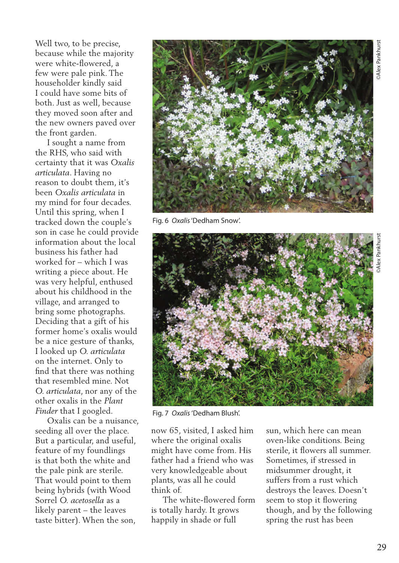Well two, to be precise, because while the majority were white-flowered, a few were pale pink. The householder kindly said I could have some bits of both. Just as well, because they moved soon after and the new owners paved over the front garden.

 I sought a name from the RHS, who said with certainty that it was *Oxalis articulata*. Having no reason to doubt them, it's been *Oxalis articulata* in my mind for four decades. Until this spring, when I tracked down the couple's son in case he could provide information about the local business his father had worked for – which I was writing a piece about. He was very helpful, enthused about his childhood in the village, and arranged to bring some photographs. Deciding that a gift of his former home's oxalis would be a nice gesture of thanks, I looked up *O. articulata* on the internet. Only to find that there was nothing that resembled mine. Not *O. articulata*, nor any of the other oxalis in the *Plant Finder* that I googled.

 Oxalis can be a nuisance, seeding all over the place. But a particular, and useful, feature of my foundlings is that both the white and the pale pink are sterile. That would point to them being hybrids (with Wood Sorrel *O. acetosella* as a likely parent – the leaves taste bitter). When the son,



Fig. 6 *Oxalis* 'Dedham Snow'.



Fig. 7 *Oxalis* 'Dedham Blush'.

now 65, visited, I asked him where the original oxalis might have come from. His father had a friend who was very knowledgeable about plants, was all he could think of.

 The white-flowered form is totally hardy. It grows happily in shade or full

sun, which here can mean oven-like conditions. Being sterile, it flowers all summer. Sometimes, if stressed in midsummer drought, it suffers from a rust which destroys the leaves. Doesn't seem to stop it flowering though, and by the following spring the rust has been